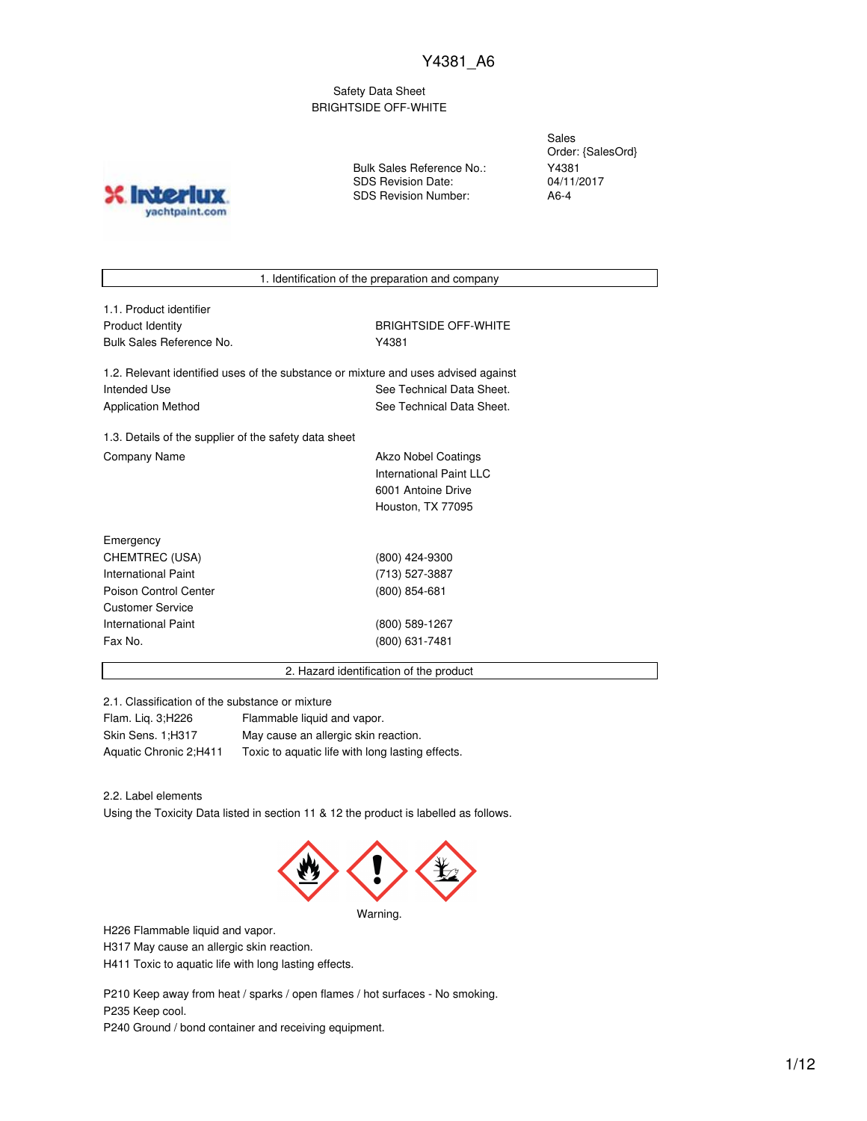Safety Data Sheet BRIGHTSIDE OFF-WHITE

Bulk Sales Reference No.: SDS Revision Date: SDS Revision Number:

Sales Order: {SalesOrd} Y4381 04/11/2017 A6-4



1. Identification of the preparation and company

| 1.1. Product identifier |
|-------------------------|
| Product Identity        |
| Bulk Sales Reference No |

**BRIGHTSIDE OFF-WHITE** Y4381

1.2. Relevant identified uses of the substance or mixture and uses advised against Intended Use **See Technical Data Sheet.** See Technical Data Sheet. Application Method See Technical Data Sheet.

1.3. Details of the supplier of the safety data sheet Company Name **Akzo Nobel Coatings** 

International Paint LLC 6001 Antoine Drive Houston, TX 77095

| Emergency                  |                 |
|----------------------------|-----------------|
| CHEMTREC (USA)             | (800) 424-9300  |
| <b>International Paint</b> | (713) 527-3887  |
| Poison Control Center      | $(800)$ 854-681 |
| <b>Customer Service</b>    |                 |
| International Paint        | (800) 589-1267  |
| Fax No.                    | (800) 631-7481  |
|                            |                 |

2. Hazard identification of the product

2.1. Classification of the substance or mixture

| Flam. Lig. 3; H226     | Flammable liquid and vapor.                      |
|------------------------|--------------------------------------------------|
| Skin Sens. 1;H317      | May cause an allergic skin reaction.             |
| Aquatic Chronic 2;H411 | Toxic to aquatic life with long lasting effects. |

2.2. Label elements

Using the Toxicity Data listed in section 11 & 12 the product is labelled as follows.



H226 Flammable liquid and vapor.

H317 May cause an allergic skin reaction.

H411 Toxic to aquatic life with long lasting effects.

P210 Keep away from heat / sparks / open flames / hot surfaces - No smoking. P235 Keep cool.

P240 Ground / bond container and receiving equipment.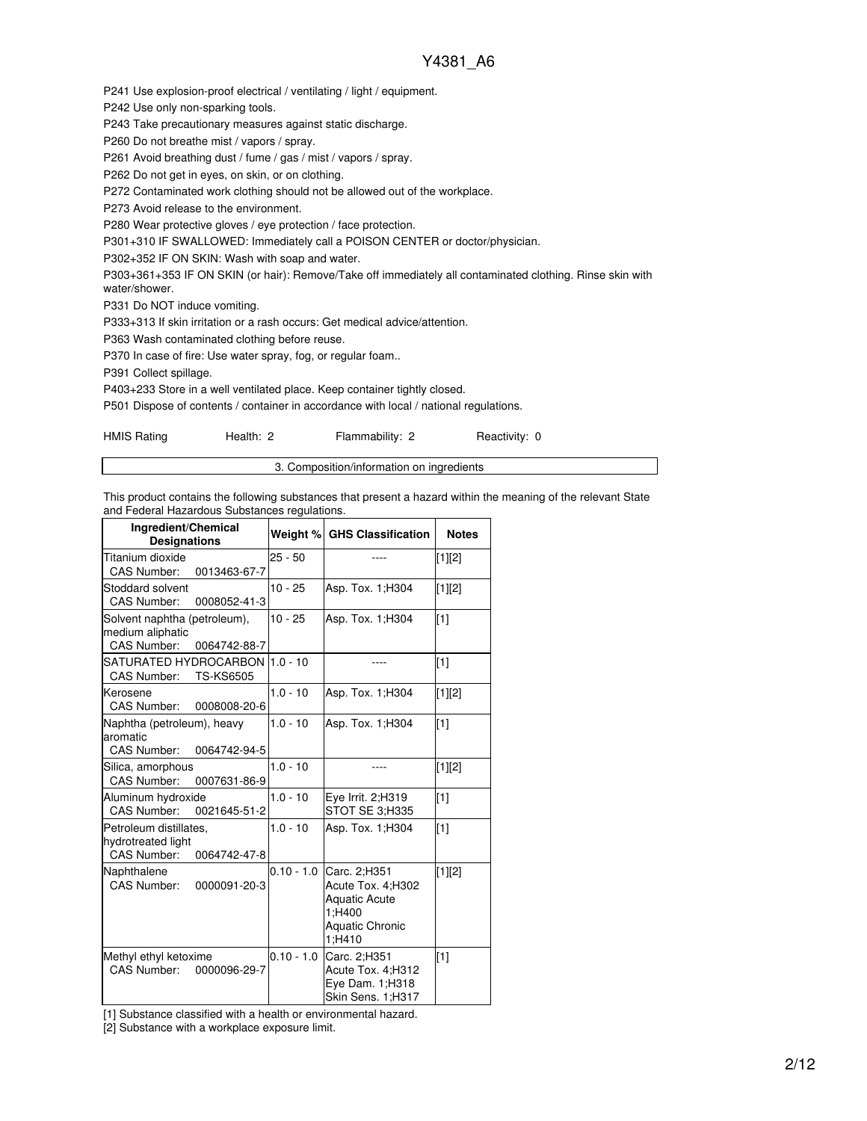P241 Use explosion-proof electrical / ventilating / light / equipment.

P242 Use only non-sparking tools.

P243 Take precautionary measures against static discharge.

P260 Do not breathe mist / vapors / spray.

P261 Avoid breathing dust / fume / gas / mist / vapors / spray.

P262 Do not get in eyes, on skin, or on clothing.

P272 Contaminated work clothing should not be allowed out of the workplace.

P273 Avoid release to the environment.

P280 Wear protective gloves / eye protection / face protection.

P301+310 IF SWALLOWED: Immediately call a POISON CENTER or doctor/physician.

P302+352 IF ON SKIN: Wash with soap and water.

P303+361+353 IF ON SKIN (or hair): Remove/Take off immediately all contaminated clothing. Rinse skin with water/shower.

P331 Do NOT induce vomiting.

P333+313 If skin irritation or a rash occurs: Get medical advice/attention.

P363 Wash contaminated clothing before reuse.

P370 In case of fire: Use water spray, fog, or regular foam..

P391 Collect spillage.

P403+233 Store in a well ventilated place. Keep container tightly closed.

P501 Dispose of contents / container in accordance with local / national regulations.

| <b>HMIS Rating</b><br>Health: 2<br>Flammability: 2 |
|----------------------------------------------------|
|----------------------------------------------------|

3. Composition/information on ingredients

This product contains the following substances that present a hazard within the meaning of the relevant State and Federal Hazardous Substances regulations.

| Ingredient/Chemical<br><b>Designations</b>                                             |              | Weight % GHS Classification                                                                             | <b>Notes</b> |
|----------------------------------------------------------------------------------------|--------------|---------------------------------------------------------------------------------------------------------|--------------|
| Titanium dioxide<br>CAS Number:<br>0013463-67-7                                        | $25 - 50$    |                                                                                                         | [1][2]       |
| Stoddard solvent<br><b>CAS Number:</b><br>0008052-41-3                                 | $10 - 25$    | Asp. Tox. 1; H304                                                                                       | [1][2]       |
| Solvent naphtha (petroleum),<br>medium aliphatic<br><b>CAS Number:</b><br>0064742-88-7 | $10 - 25$    | Asp. Tox. 1; H304                                                                                       | $[1]$        |
| SATURATED HYDROCARBON 1.0 - 10<br>CAS Number:<br><b>TS-KS6505</b>                      |              |                                                                                                         | $[1]$        |
| Kerosene<br>CAS Number:<br>0008008-20-6                                                | $1.0 - 10$   | Asp. Tox. 1; H304                                                                                       | $[1][2]$     |
| Naphtha (petroleum), heavy<br>aromatic<br>CAS Number:<br>0064742-94-5                  | $1.0 - 10$   | Asp. Tox. 1; H304                                                                                       | $[1]$        |
| Silica, amorphous<br><b>CAS Number:</b><br>0007631-86-9                                | $1.0 - 10$   |                                                                                                         | $[1][2]$     |
| Aluminum hydroxide<br>CAS Number:<br>0021645-51-2                                      | $1.0 - 10$   | Eve Irrit. 2:H319<br>STOT SE 3:H335                                                                     | [1]          |
| Petroleum distillates,<br>hydrotreated light<br><b>CAS Number:</b><br>0064742-47-8     | $1.0 - 10$   | Asp. Tox. 1; H304                                                                                       | $[1]$        |
| Naphthalene<br>CAS Number:<br>0000091-20-3                                             | $0.10 - 1.0$ | Carc. 2;H351<br>Acute Tox. 4;H302<br><b>Aquatic Acute</b><br>1;H400<br><b>Aquatic Chronic</b><br>1;H410 | $[1][2]$     |
| Methyl ethyl ketoxime<br>CAS Number:<br>0000096-29-7                                   | $0.10 - 1.0$ | Carc. 2;H351<br>Acute Tox. 4; H312<br>Eye Dam. 1;H318<br>Skin Sens. 1;H317                              | $[1]$        |

[1] Substance classified with a health or environmental hazard.

[2] Substance with a workplace exposure limit.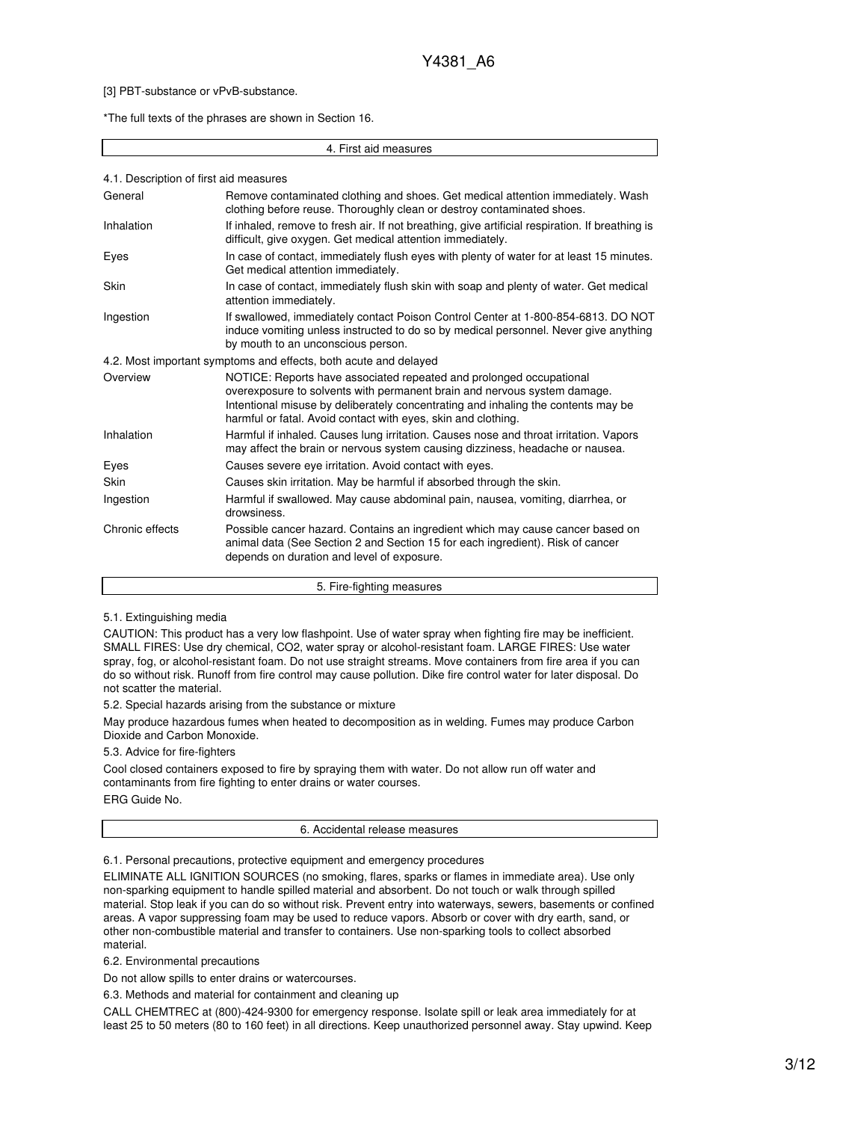#### [3] PBT-substance or vPvB-substance.

\*The full texts of the phrases are shown in Section 16.

#### 4. First aid measures

| 4.1. Description of first aid measures |                                                                                                                                                                                                                                                                                                       |
|----------------------------------------|-------------------------------------------------------------------------------------------------------------------------------------------------------------------------------------------------------------------------------------------------------------------------------------------------------|
| General                                | Remove contaminated clothing and shoes. Get medical attention immediately. Wash<br>clothing before reuse. Thoroughly clean or destroy contaminated shoes.                                                                                                                                             |
| <b>Inhalation</b>                      | If inhaled, remove to fresh air. If not breathing, give artificial respiration. If breathing is<br>difficult, give oxygen. Get medical attention immediately.                                                                                                                                         |
| Eyes                                   | In case of contact, immediately flush eyes with plenty of water for at least 15 minutes.<br>Get medical attention immediately.                                                                                                                                                                        |
| Skin                                   | In case of contact, immediately flush skin with soap and plenty of water. Get medical<br>attention immediately.                                                                                                                                                                                       |
| Ingestion                              | If swallowed, immediately contact Poison Control Center at 1-800-854-6813. DO NOT<br>induce vomiting unless instructed to do so by medical personnel. Never give anything<br>by mouth to an unconscious person.                                                                                       |
|                                        | 4.2. Most important symptoms and effects, both acute and delayed                                                                                                                                                                                                                                      |
| Overview                               | NOTICE: Reports have associated repeated and prolonged occupational<br>overexposure to solvents with permanent brain and nervous system damage.<br>Intentional misuse by deliberately concentrating and inhaling the contents may be<br>harmful or fatal. Avoid contact with eyes, skin and clothing. |
| Inhalation                             | Harmful if inhaled. Causes lung irritation. Causes nose and throat irritation. Vapors<br>may affect the brain or nervous system causing dizziness, headache or nausea.                                                                                                                                |
| Eyes                                   | Causes severe eye irritation. Avoid contact with eyes.                                                                                                                                                                                                                                                |
| Skin                                   | Causes skin irritation. May be harmful if absorbed through the skin.                                                                                                                                                                                                                                  |
| Ingestion                              | Harmful if swallowed. May cause abdominal pain, nausea, vomiting, diarrhea, or<br>drowsiness.                                                                                                                                                                                                         |
| Chronic effects                        | Possible cancer hazard. Contains an ingredient which may cause cancer based on<br>animal data (See Section 2 and Section 15 for each ingredient). Risk of cancer<br>depends on duration and level of exposure.                                                                                        |
|                                        | 5. Fire-fighting measures                                                                                                                                                                                                                                                                             |

#### 5.1. Extinguishing media

CAUTION: This product has a very low flashpoint. Use of water spray when fighting fire may be inefficient. SMALL FIRES: Use dry chemical, CO2, water spray or alcohol-resistant foam. LARGE FIRES: Use water spray, fog, or alcohol-resistant foam. Do not use straight streams. Move containers from fire area if you can do so without risk. Runoff from fire control may cause pollution. Dike fire control water for later disposal. Do not scatter the material.

5.2. Special hazards arising from the substance or mixture

May produce hazardous fumes when heated to decomposition as in welding. Fumes may produce Carbon Dioxide and Carbon Monoxide.

5.3. Advice for fire-fighters

Cool closed containers exposed to fire by spraying them with water. Do not allow run off water and contaminants from fire fighting to enter drains or water courses.

ERG Guide No.

#### 6. Accidental release measures

6.1. Personal precautions, protective equipment and emergency procedures

ELIMINATE ALL IGNITION SOURCES (no smoking, flares, sparks or flames in immediate area). Use only non-sparking equipment to handle spilled material and absorbent. Do not touch or walk through spilled material. Stop leak if you can do so without risk. Prevent entry into waterways, sewers, basements or confined areas. A vapor suppressing foam may be used to reduce vapors. Absorb or cover with dry earth, sand, or other non-combustible material and transfer to containers. Use non-sparking tools to collect absorbed material.

6.2. Environmental precautions

Do not allow spills to enter drains or watercourses.

6.3. Methods and material for containment and cleaning up

CALL CHEMTREC at (800)-424-9300 for emergency response. Isolate spill or leak area immediately for at least 25 to 50 meters (80 to 160 feet) in all directions. Keep unauthorized personnel away. Stay upwind. Keep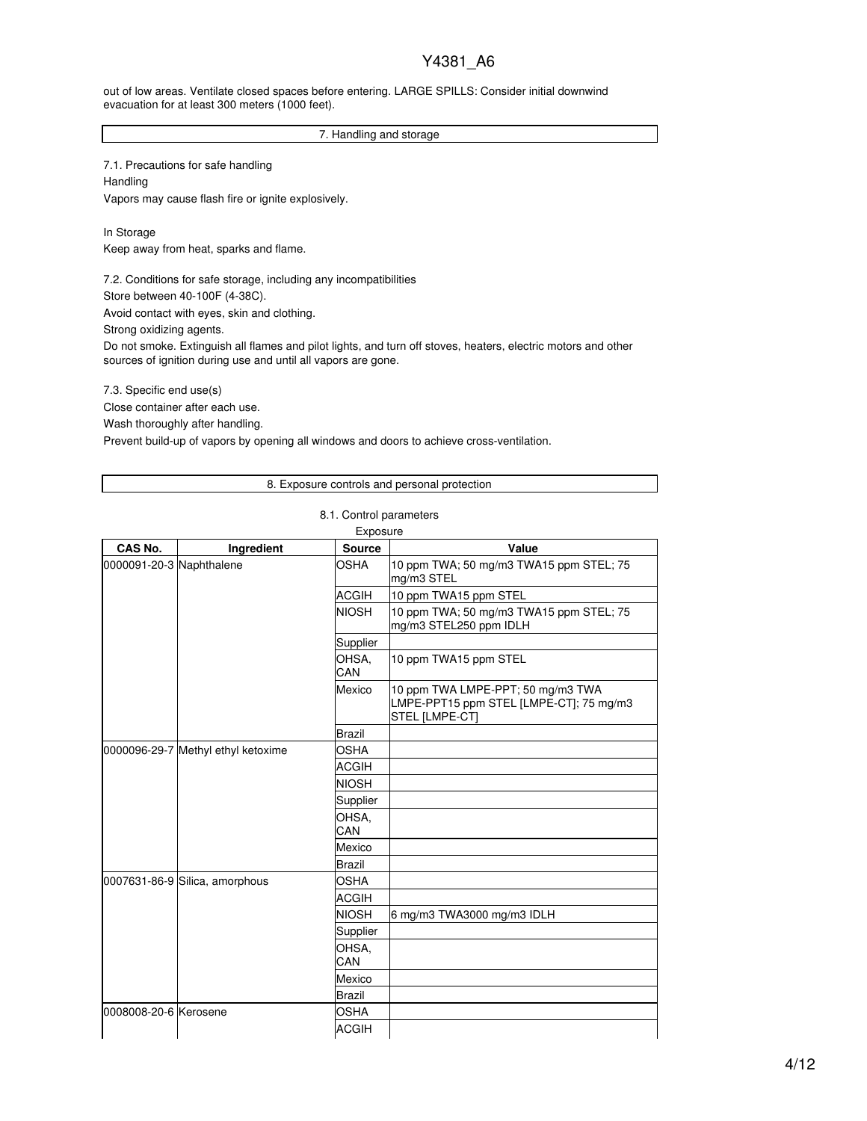out of low areas. Ventilate closed spaces before entering. LARGE SPILLS: Consider initial downwind evacuation for at least 300 meters (1000 feet).

### 7. Handling and storage

7.1. Precautions for safe handling Handling Vapors may cause flash fire or ignite explosively.

In Storage Keep away from heat, sparks and flame.

7.2. Conditions for safe storage, including any incompatibilities

Store between 40-100F (4-38C).

Avoid contact with eyes, skin and clothing.

Strong oxidizing agents.

Do not smoke. Extinguish all flames and pilot lights, and turn off stoves, heaters, electric motors and other sources of ignition during use and until all vapors are gone.

7.3. Specific end use(s)

Close container after each use.

Wash thoroughly after handling.

Prevent build-up of vapors by opening all windows and doors to achieve cross-ventilation.

### 8. Exposure controls and personal protection

### 8.1. Control parameters

|  |  | Evnneure |  |  |
|--|--|----------|--|--|

| <b>CAS No.</b>           | Ingredient                         | <b>Source</b> | Value                                                                                          |
|--------------------------|------------------------------------|---------------|------------------------------------------------------------------------------------------------|
| 0000091-20-3 Naphthalene |                                    | OSHA          | 10 ppm TWA; 50 mg/m3 TWA15 ppm STEL; 75<br>mg/m3 STEL                                          |
|                          |                                    | <b>ACGIH</b>  | 10 ppm TWA15 ppm STEL                                                                          |
|                          |                                    | <b>NIOSH</b>  | 10 ppm TWA; 50 mg/m3 TWA15 ppm STEL; 75<br>mg/m3 STEL250 ppm IDLH                              |
|                          |                                    | Supplier      |                                                                                                |
|                          |                                    | OHSA,<br>CAN  | 10 ppm TWA15 ppm STEL                                                                          |
|                          |                                    | Mexico        | 10 ppm TWA LMPE-PPT; 50 mg/m3 TWA<br>LMPE-PPT15 ppm STEL [LMPE-CT]; 75 mg/m3<br>STEL [LMPE-CT] |
|                          |                                    | <b>Brazil</b> |                                                                                                |
|                          | 0000096-29-7 Methyl ethyl ketoxime | <b>OSHA</b>   |                                                                                                |
|                          |                                    | <b>ACGIH</b>  |                                                                                                |
|                          |                                    | <b>NIOSH</b>  |                                                                                                |
|                          |                                    | Supplier      |                                                                                                |
|                          |                                    | OHSA,<br>CAN  |                                                                                                |
|                          |                                    | Mexico        |                                                                                                |
|                          |                                    | <b>Brazil</b> |                                                                                                |
|                          | 0007631-86-9 Silica, amorphous     | <b>OSHA</b>   |                                                                                                |
|                          |                                    | <b>ACGIH</b>  |                                                                                                |
|                          |                                    | <b>NIOSH</b>  | 6 mg/m3 TWA3000 mg/m3 IDLH                                                                     |
|                          |                                    | Supplier      |                                                                                                |
|                          |                                    | OHSA,<br>CAN  |                                                                                                |
|                          |                                    | Mexico        |                                                                                                |
|                          |                                    | <b>Brazil</b> |                                                                                                |
| 0008008-20-6 Kerosene    |                                    | <b>OSHA</b>   |                                                                                                |
|                          |                                    | <b>ACGIH</b>  |                                                                                                |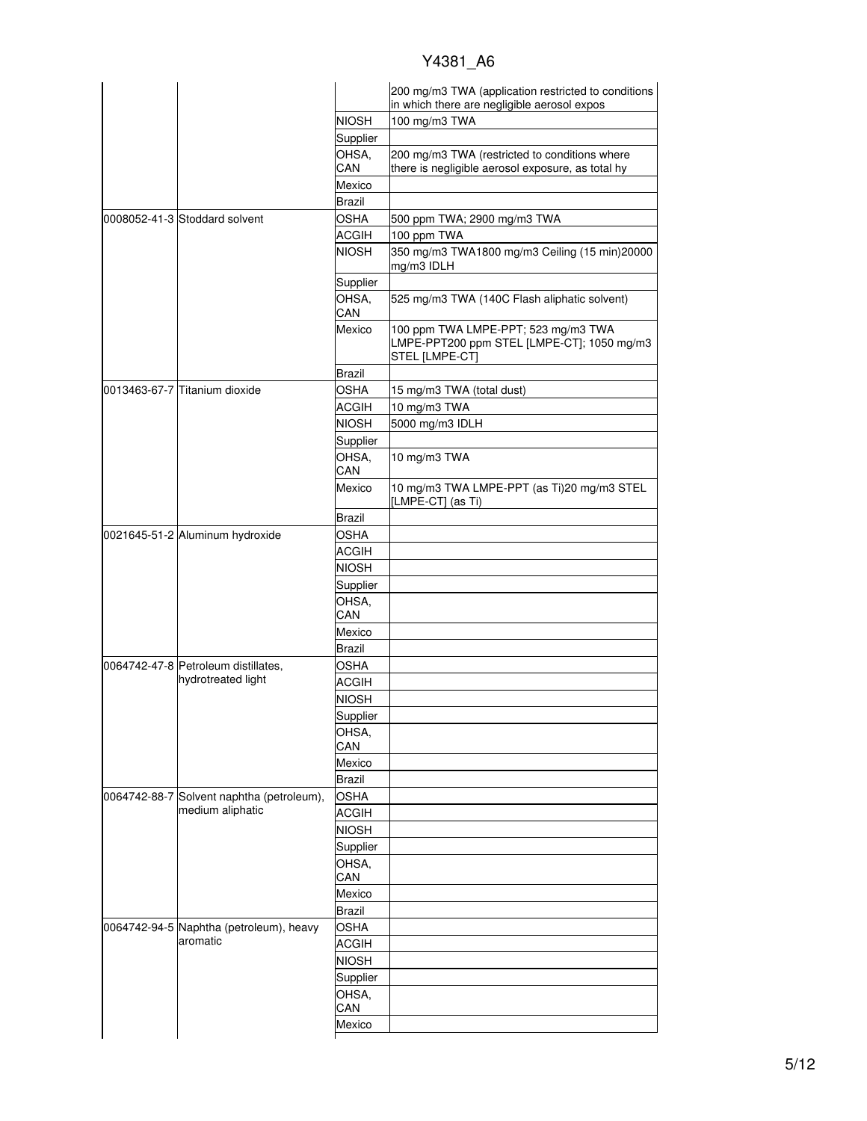|  |                                                               |               | 200 mg/m3 TWA (application restricted to conditions<br>in which there are negligible aerosol expos  |
|--|---------------------------------------------------------------|---------------|-----------------------------------------------------------------------------------------------------|
|  |                                                               | <b>NIOSH</b>  | 100 mg/m3 TWA                                                                                       |
|  |                                                               | Supplier      |                                                                                                     |
|  |                                                               | OHSA.         | 200 mg/m3 TWA (restricted to conditions where                                                       |
|  |                                                               | CAN           | there is negligible aerosol exposure, as total hy                                                   |
|  |                                                               | Mexico        |                                                                                                     |
|  |                                                               | Brazil        |                                                                                                     |
|  | 0008052-41-3 Stoddard solvent                                 | <b>OSHA</b>   | 500 ppm TWA; 2900 mg/m3 TWA                                                                         |
|  |                                                               | ACGIH         | 100 ppm TWA                                                                                         |
|  |                                                               | <b>NIOSH</b>  | 350 mg/m3 TWA1800 mg/m3 Ceiling (15 min)20000<br>mg/m3 IDLH                                         |
|  |                                                               | Supplier      |                                                                                                     |
|  |                                                               | OHSA.<br>CAN  | 525 mg/m3 TWA (140C Flash aliphatic solvent)                                                        |
|  |                                                               | Mexico        | 100 ppm TWA LMPE-PPT; 523 mg/m3 TWA<br>LMPE-PPT200 ppm STEL [LMPE-CT]; 1050 mg/m3<br>STEL [LMPE-CT] |
|  |                                                               | Brazil        |                                                                                                     |
|  | 0013463-67-7 Titanium dioxide                                 | <b>OSHA</b>   | 15 mg/m3 TWA (total dust)                                                                           |
|  |                                                               | <b>ACGIH</b>  | 10 mg/m3 TWA                                                                                        |
|  |                                                               | <b>NIOSH</b>  | 5000 mg/m3 IDLH                                                                                     |
|  |                                                               | Supplier      |                                                                                                     |
|  |                                                               | OHSA,<br>CAN  | 10 mg/m3 TWA                                                                                        |
|  |                                                               | Mexico        | 10 mg/m3 TWA LMPE-PPT (as Ti)20 mg/m3 STEL<br>[LMPE-CT] (as Ti)                                     |
|  |                                                               | Brazil        |                                                                                                     |
|  | 0021645-51-2 Aluminum hydroxide                               | <b>OSHA</b>   |                                                                                                     |
|  |                                                               | <b>ACGIH</b>  |                                                                                                     |
|  |                                                               | <b>NIOSH</b>  |                                                                                                     |
|  |                                                               |               |                                                                                                     |
|  |                                                               | Supplier      |                                                                                                     |
|  |                                                               | OHSA,<br>CAN  |                                                                                                     |
|  |                                                               | Mexico        |                                                                                                     |
|  |                                                               | Brazil        |                                                                                                     |
|  | 0064742-47-8 Petroleum distillates,                           | OSHA          |                                                                                                     |
|  | hydrotreated light                                            | <b>ACGIH</b>  |                                                                                                     |
|  |                                                               |               |                                                                                                     |
|  |                                                               | NIOSH         |                                                                                                     |
|  |                                                               | Supplier      |                                                                                                     |
|  |                                                               | OHSA,<br>CAN  |                                                                                                     |
|  |                                                               | Mexico        |                                                                                                     |
|  |                                                               | <b>Brazil</b> |                                                                                                     |
|  |                                                               | <b>OSHA</b>   |                                                                                                     |
|  | 0064742-88-7 Solvent naphtha (petroleum),<br>medium aliphatic |               |                                                                                                     |
|  |                                                               | <b>ACGIH</b>  |                                                                                                     |
|  |                                                               | <b>NIOSH</b>  |                                                                                                     |
|  |                                                               | Supplier      |                                                                                                     |
|  |                                                               | OHSA,<br>CAN  |                                                                                                     |
|  |                                                               |               |                                                                                                     |
|  |                                                               | Mexico        |                                                                                                     |
|  |                                                               | <b>Brazil</b> |                                                                                                     |
|  | 0064742-94-5 Naphtha (petroleum), heavy<br>aromatic           | <b>OSHA</b>   |                                                                                                     |
|  |                                                               | <b>ACGIH</b>  |                                                                                                     |
|  |                                                               | <b>NIOSH</b>  |                                                                                                     |
|  |                                                               | Supplier      |                                                                                                     |
|  |                                                               | OHSA,         |                                                                                                     |
|  |                                                               | CAN           |                                                                                                     |
|  |                                                               | Mexico        |                                                                                                     |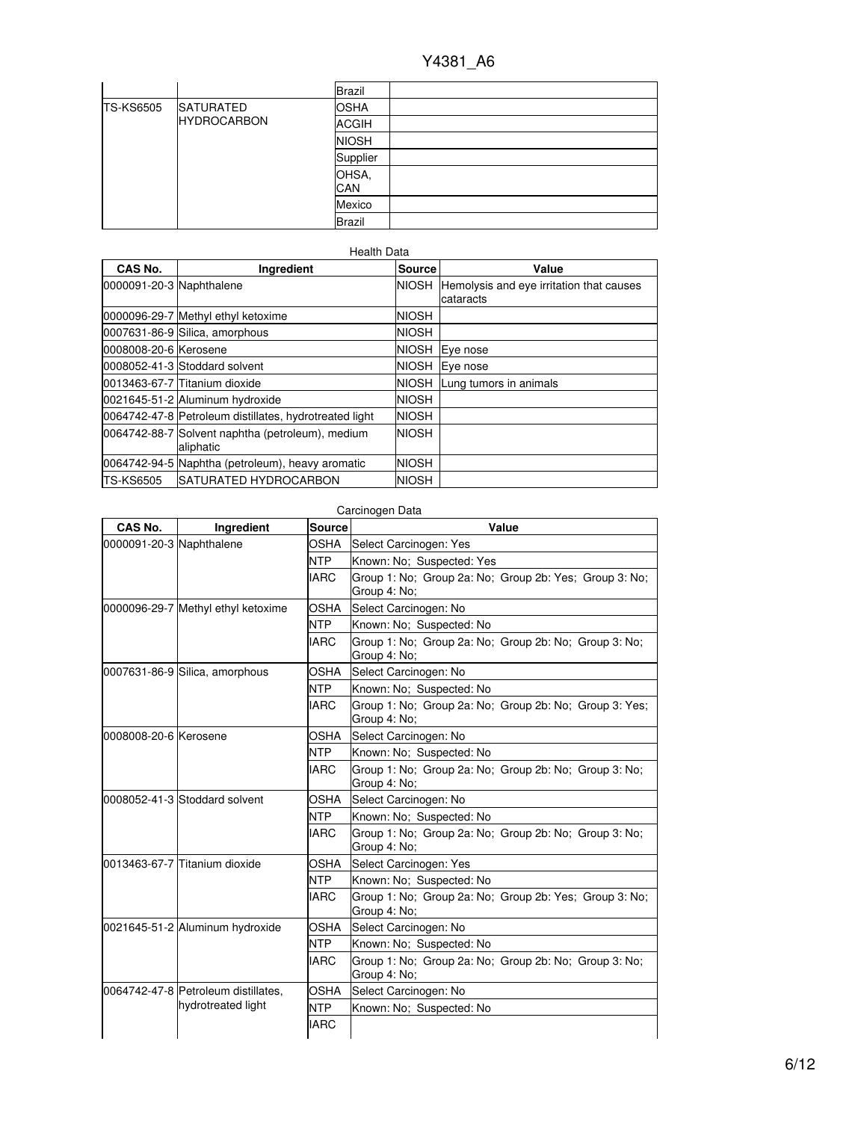|                  |                    | <b>Brazil</b> |  |
|------------------|--------------------|---------------|--|
| <b>TS-KS6505</b> | <b>SATURATED</b>   | <b>OSHA</b>   |  |
|                  | <b>HYDROCARBON</b> | <b>ACGIH</b>  |  |
|                  |                    | <b>NIOSH</b>  |  |
|                  |                    | Supplier      |  |
|                  |                    | OHSA,<br>CAN  |  |
|                  |                    | Mexico        |  |
|                  |                    | <b>Brazil</b> |  |

### Health Data

| CAS No.                  | Ingredient                                                    | <b>Source</b> | Value                                                       |
|--------------------------|---------------------------------------------------------------|---------------|-------------------------------------------------------------|
| 0000091-20-3 Naphthalene |                                                               |               | NIOSH Hemolysis and eye irritation that causes<br>cataracts |
|                          | 0000096-29-7 Methyl ethyl ketoxime                            | <b>NIOSH</b>  |                                                             |
|                          | 0007631-86-9 Silica, amorphous                                | <b>NIOSH</b>  |                                                             |
| 0008008-20-6 Kerosene    |                                                               | <b>NIOSH</b>  | Eye nose                                                    |
|                          | 0008052-41-3 Stoddard solvent                                 | <b>NIOSH</b>  | Eye nose                                                    |
|                          | 0013463-67-7 Titanium dioxide                                 | <b>NIOSH</b>  | Lung tumors in animals                                      |
|                          | 0021645-51-2 Aluminum hydroxide                               | <b>NIOSH</b>  |                                                             |
|                          | 0064742-47-8 Petroleum distillates, hydrotreated light        | <b>NIOSH</b>  |                                                             |
|                          | 0064742-88-7 Solvent naphtha (petroleum), medium<br>aliphatic | <b>NIOSH</b>  |                                                             |
|                          | 0064742-94-5 Naphtha (petroleum), heavy aromatic              | <b>NIOSH</b>  |                                                             |
| <b>TS-KS6505</b>         | <b>ISATURATED HYDROCARBON</b>                                 | <b>NIOSH</b>  |                                                             |

| CAS No.                  | Ingredient                          | <b>Source</b>            | Value                                                                  |
|--------------------------|-------------------------------------|--------------------------|------------------------------------------------------------------------|
| 0000091-20-3 Naphthalene |                                     | OSHA                     | Select Carcinogen: Yes                                                 |
|                          |                                     |                          | Known: No: Suspected: Yes                                              |
|                          |                                     | <b>IARC</b>              | Group 1: No; Group 2a: No; Group 2b: Yes; Group 3: No;<br>Group 4: No; |
|                          | 0000096-29-7 Methyl ethyl ketoxime  | OSHA                     | Select Carcinogen: No                                                  |
|                          |                                     | NTP                      | Known: No; Suspected: No                                               |
|                          |                                     | <b>IARC</b>              | Group 1: No; Group 2a: No; Group 2b: No; Group 3: No;<br>Group 4: No;  |
|                          | 0007631-86-9 Silica, amorphous      | OSHA                     | Select Carcinogen: No                                                  |
|                          |                                     | NTP                      | Known: No; Suspected: No                                               |
|                          |                                     | <b>IARC</b>              | Group 1: No; Group 2a: No; Group 2b: No; Group 3: Yes;<br>Group 4: No; |
| 0008008-20-6 Kerosene    |                                     | OSHA                     | Select Carcinogen: No                                                  |
|                          | NTP                                 | Known: No; Suspected: No |                                                                        |
|                          |                                     | <b>IARC</b>              | Group 1: No: Group 2a: No: Group 2b: No: Group 3: No:<br>Group 4: No;  |
|                          | 0008052-41-3 Stoddard solvent       | OSHA                     | Select Carcinogen: No                                                  |
|                          |                                     | NTP                      | Known: No; Suspected: No                                               |
|                          |                                     | <b>IARC</b>              | Group 1: No; Group 2a: No; Group 2b: No; Group 3: No;<br>Group 4: No;  |
|                          | l0013463-67-7 lTitanium dioxide     | OSHA                     | Select Carcinogen: Yes                                                 |
|                          |                                     | NTP                      | Known: No; Suspected: No                                               |
|                          |                                     | <b>IARC</b>              | Group 1: No: Group 2a: No: Group 2b: Yes: Group 3: No:<br>Group 4: No; |
|                          | 0021645-51-2 Aluminum hydroxide     | OSHA                     | Select Carcinogen: No                                                  |
|                          |                                     | NTP                      | Known: No; Suspected: No                                               |
|                          |                                     | <b>IARC</b>              | Group 1: No; Group 2a: No; Group 2b: No; Group 3: No;<br>Group 4: No;  |
|                          | 0064742-47-8 Petroleum distillates, | OSHA                     | Select Carcinogen: No                                                  |
|                          | hydrotreated light                  | NTP                      | Known: No; Suspected: No                                               |
|                          |                                     | <b>IARC</b>              |                                                                        |

# Carcinogen Data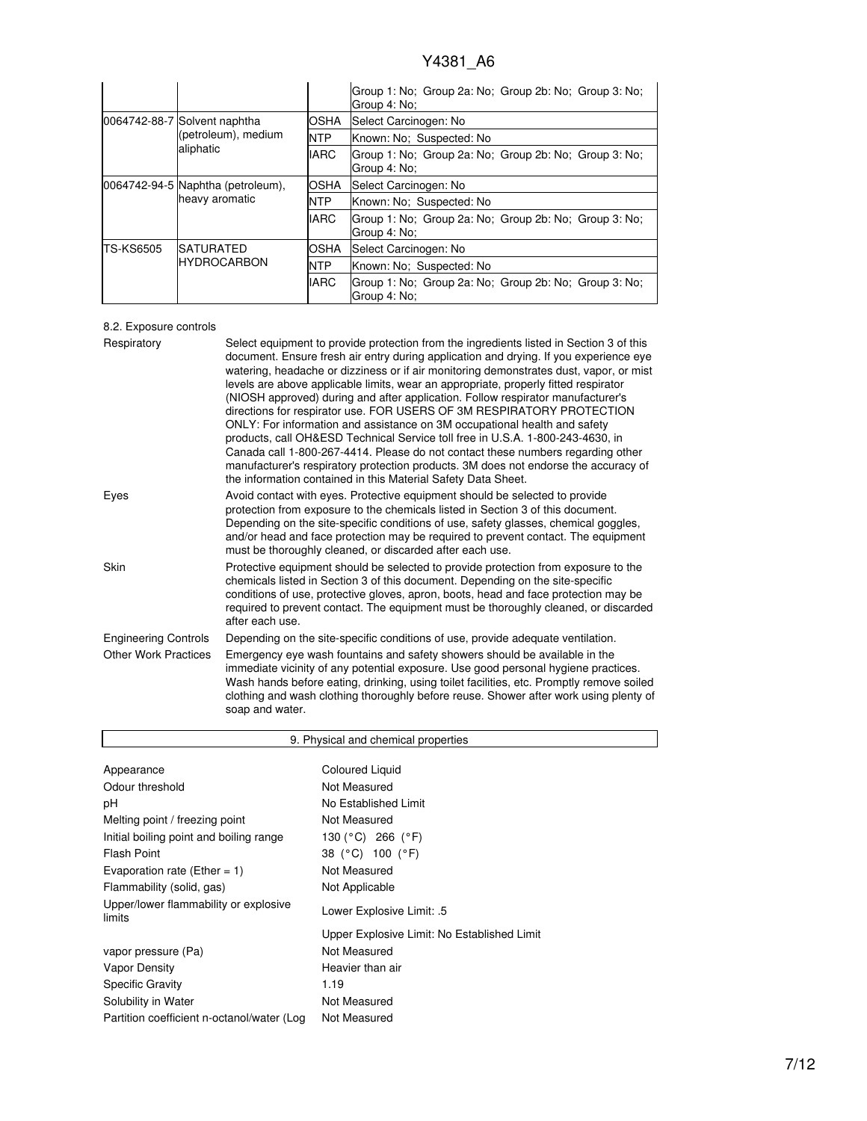|                  |                                                                  |             | Group 1: No; Group 2a: No; Group 2b: No; Group 3: No;<br>Group 4: No: |  |
|------------------|------------------------------------------------------------------|-------------|-----------------------------------------------------------------------|--|
|                  | 0064742-88-7 Solvent naphtha<br>(petroleum), medium<br>aliphatic | OSHA        | Select Carcinogen: No                                                 |  |
|                  |                                                                  | <b>NTP</b>  | Known: No: Suspected: No                                              |  |
|                  |                                                                  | <b>IARC</b> | Group 1: No; Group 2a: No; Group 2b: No; Group 3: No;<br>Group 4: No: |  |
|                  | 0064742-94-5 Naphtha (petroleum),<br>heavy aromatic              | <b>OSHA</b> | Select Carcinogen: No                                                 |  |
|                  |                                                                  | <b>NTP</b>  | Known: No: Suspected: No                                              |  |
|                  |                                                                  | <b>IARC</b> | Group 1: No; Group 2a: No; Group 2b: No; Group 3: No;<br>Group 4: No: |  |
| <b>TS-KS6505</b> | <b>SATURATED</b><br><b>HYDROCARBON</b>                           | OSHA        | Select Carcinogen: No                                                 |  |
|                  |                                                                  | <b>NTP</b>  | Known: No: Suspected: No                                              |  |
|                  |                                                                  | <b>IARC</b> | Group 1: No; Group 2a: No; Group 2b: No; Group 3: No;<br>Group 4: No: |  |

# 8.2. Exposure controls

 $\overline{\phantom{a}}$ 

| Respiratory                 | Select equipment to provide protection from the ingredients listed in Section 3 of this<br>document. Ensure fresh air entry during application and drying. If you experience eye<br>watering, headache or dizziness or if air monitoring demonstrates dust, vapor, or mist<br>levels are above applicable limits, wear an appropriate, properly fitted respirator<br>(NIOSH approved) during and after application. Follow respirator manufacturer's<br>directions for respirator use. FOR USERS OF 3M RESPIRATORY PROTECTION<br>ONLY: For information and assistance on 3M occupational health and safety<br>products, call OH&ESD Technical Service toll free in U.S.A. 1-800-243-4630, in<br>Canada call 1-800-267-4414. Please do not contact these numbers regarding other<br>manufacturer's respiratory protection products. 3M does not endorse the accuracy of<br>the information contained in this Material Safety Data Sheet. |
|-----------------------------|-----------------------------------------------------------------------------------------------------------------------------------------------------------------------------------------------------------------------------------------------------------------------------------------------------------------------------------------------------------------------------------------------------------------------------------------------------------------------------------------------------------------------------------------------------------------------------------------------------------------------------------------------------------------------------------------------------------------------------------------------------------------------------------------------------------------------------------------------------------------------------------------------------------------------------------------|
| Eyes                        | Avoid contact with eyes. Protective equipment should be selected to provide<br>protection from exposure to the chemicals listed in Section 3 of this document.<br>Depending on the site-specific conditions of use, safety glasses, chemical goggles,<br>and/or head and face protection may be required to prevent contact. The equipment<br>must be thoroughly cleaned, or discarded after each use.                                                                                                                                                                                                                                                                                                                                                                                                                                                                                                                                  |
| Skin                        | Protective equipment should be selected to provide protection from exposure to the<br>chemicals listed in Section 3 of this document. Depending on the site-specific<br>conditions of use, protective gloves, apron, boots, head and face protection may be<br>required to prevent contact. The equipment must be thoroughly cleaned, or discarded<br>after each use.                                                                                                                                                                                                                                                                                                                                                                                                                                                                                                                                                                   |
| <b>Engineering Controls</b> | Depending on the site-specific conditions of use, provide adequate ventilation.                                                                                                                                                                                                                                                                                                                                                                                                                                                                                                                                                                                                                                                                                                                                                                                                                                                         |
| <b>Other Work Practices</b> | Emergency eye wash fountains and safety showers should be available in the<br>immediate vicinity of any potential exposure. Use good personal hygiene practices.<br>Wash hands before eating, drinking, using toilet facilities, etc. Promptly remove soiled<br>clothing and wash clothing thoroughly before reuse. Shower after work using plenty of<br>soap and water.                                                                                                                                                                                                                                                                                                                                                                                                                                                                                                                                                                |

| 9. Physical and chemical properties                        |                                             |  |  |
|------------------------------------------------------------|---------------------------------------------|--|--|
|                                                            |                                             |  |  |
| Appearance                                                 | Coloured Liquid                             |  |  |
| Odour threshold                                            | Not Measured                                |  |  |
| рH                                                         | No Established Limit                        |  |  |
| Melting point / freezing point                             | Not Measured                                |  |  |
| Initial boiling point and boiling range                    | 130 (°C) 266 (°F)                           |  |  |
| Flash Point                                                | 38 (°C) 100 (°F)                            |  |  |
| Evaporation rate (Ether = 1)                               | Not Measured                                |  |  |
| Flammability (solid, gas)                                  | Not Applicable                              |  |  |
| Upper/lower flammability or explosive<br>limits            | Lower Explosive Limit: .5                   |  |  |
|                                                            | Upper Explosive Limit: No Established Limit |  |  |
| vapor pressure (Pa)                                        | Not Measured                                |  |  |
| Vapor Density                                              | Heavier than air                            |  |  |
| <b>Specific Gravity</b>                                    | 1.19                                        |  |  |
| Solubility in Water                                        | Not Measured                                |  |  |
| Not Measured<br>Partition coefficient n-octanol/water (Log |                                             |  |  |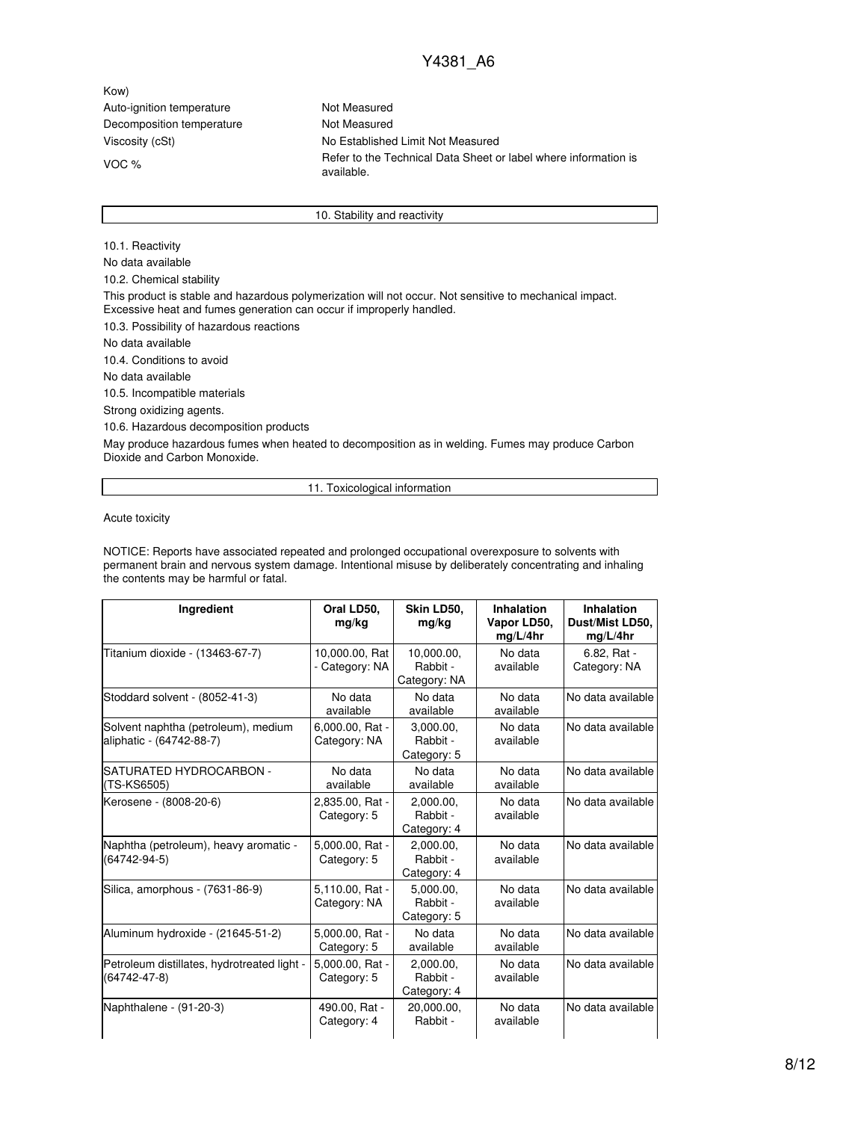Kow) Auto-ignition temperature Not Measured Decomposition temperature Not Measured

Viscosity (cSt) No Established Limit Not Measured VOC % Separation is refer to the Technical Data Sheet or label where information is available.

10. Stability and reactivity

10.1. Reactivity No data available 10.2. Chemical stability This product is stable and hazardous polymerization will not occur. Not sensitive to mechanical impact. Excessive heat and fumes generation can occur if improperly handled. 10.3. Possibility of hazardous reactions No data available 10.4. Conditions to avoid No data available 10.5. Incompatible materials Strong oxidizing agents. 10.6. Hazardous decomposition products May produce hazardous fumes when heated to decomposition as in welding. Fumes may produce Carbon Dioxide and Carbon Monoxide.

11. Toxicological information

Acute toxicity

NOTICE: Reports have associated repeated and prolonged occupational overexposure to solvents with permanent brain and nervous system damage. Intentional misuse by deliberately concentrating and inhaling the contents may be harmful or fatal.

| Ingredient                                                        | Oral LD50,<br>mg/kg              | Skin LD50,<br>mg/kg                    | <b>Inhalation</b><br>Vapor LD50,<br>mg/L/4hr | Inhalation<br>Dust/Mist LD50,<br>mg/L/4hr |
|-------------------------------------------------------------------|----------------------------------|----------------------------------------|----------------------------------------------|-------------------------------------------|
| Titanium dioxide - (13463-67-7)                                   | 10,000.00, Rat<br>- Category: NA | 10,000.00,<br>Rabbit -<br>Category: NA | No data<br>available                         | 6.82, Rat -<br>Category: NA               |
| Stoddard solvent - (8052-41-3)                                    | No data<br>available             | No data<br>available                   | No data<br>available                         | No data available                         |
| Solvent naphtha (petroleum), medium<br>aliphatic - (64742-88-7)   | 6,000.00, Rat -<br>Category: NA  | 3.000.00.<br>Rabbit -<br>Category: 5   | No data<br>available                         | No data available                         |
| SATURATED HYDROCARBON -<br>(TS-KS6505)                            | No data<br>available             | No data<br>available                   | No data<br>available                         | No data available                         |
| Kerosene - (8008-20-6)                                            | 2,835.00, Rat -<br>Category: 5   | 2,000.00,<br>Rabbit -<br>Category: 4   | No data<br>available                         | No data available                         |
| Naphtha (petroleum), heavy aromatic -<br>$(64742 - 94 - 5)$       | 5,000.00, Rat -<br>Category: 5   | 2.000.00.<br>Rabbit -<br>Category: 4   | No data<br>available                         | No data available                         |
| Silica, amorphous - (7631-86-9)                                   | 5,110.00, Rat -<br>Category: NA  | 5.000.00.<br>Rabbit -<br>Category: 5   | No data<br>available                         | No data available                         |
| Aluminum hydroxide - (21645-51-2)                                 | 5,000.00, Rat -<br>Category: 5   | No data<br>available                   | No data<br>available                         | No data available                         |
| Petroleum distillates, hydrotreated light -<br>$(64742 - 47 - 8)$ | 5.000.00. Rat -<br>Category: 5   | 2.000.00.<br>Rabbit -<br>Category: 4   | No data<br>available                         | No data available                         |
| Naphthalene - (91-20-3)                                           | 490.00, Rat -<br>Category: 4     | 20.000.00.<br>Rabbit -                 | No data<br>available                         | No data available                         |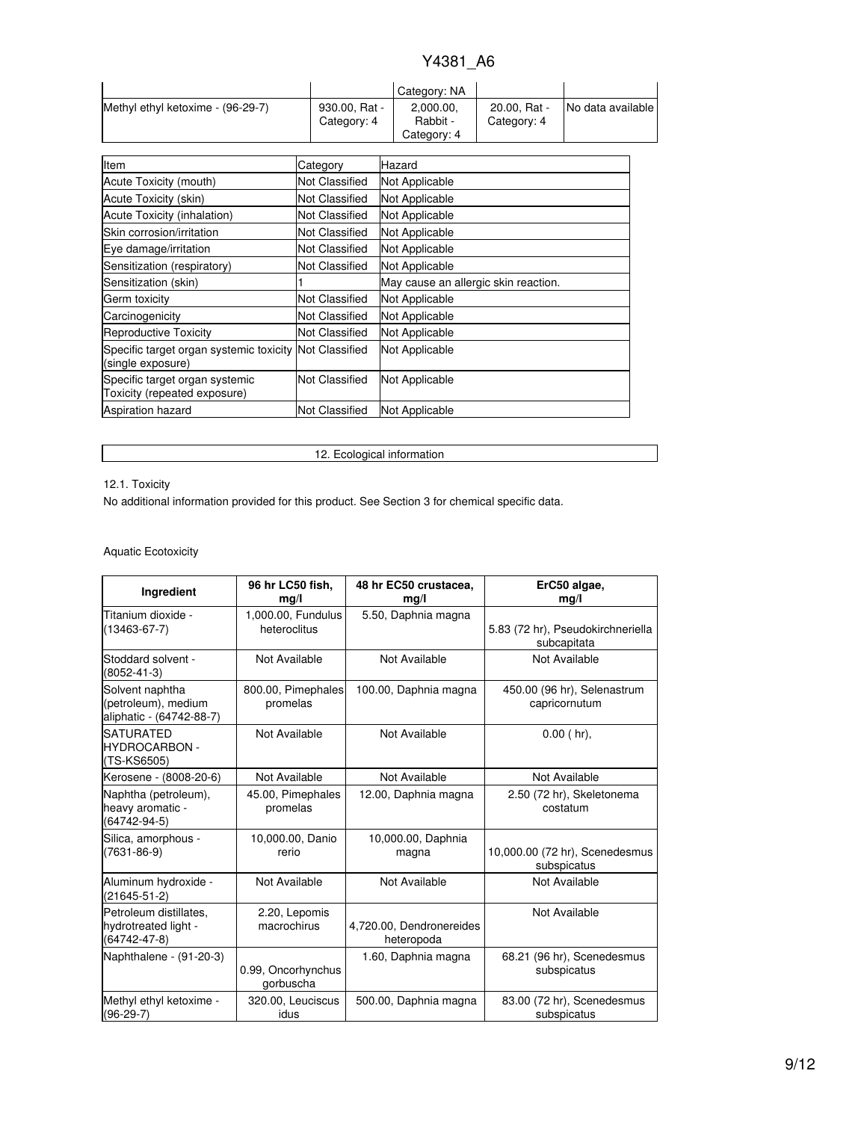|                                   |                              | Category: NA                         |                             |                   |
|-----------------------------------|------------------------------|--------------------------------------|-----------------------------|-------------------|
| Methyl ethyl ketoxime - (96-29-7) | 930.00, Rat -<br>Category: 4 | 2,000.00,<br>Rabbit -<br>Category: 4 | 20.00. Rat -<br>Category: 4 | No data available |

| Item                                                                        | Category              | Hazard                               |
|-----------------------------------------------------------------------------|-----------------------|--------------------------------------|
| Acute Toxicity (mouth)                                                      | Not Classified        | Not Applicable                       |
| Acute Toxicity (skin)                                                       | Not Classified        | Not Applicable                       |
| Acute Toxicity (inhalation)                                                 | Not Classified        | Not Applicable                       |
| Skin corrosion/irritation                                                   | Not Classified        | Not Applicable                       |
| Eye damage/irritation                                                       | Not Classified        | Not Applicable                       |
| Sensitization (respiratory)                                                 | Not Classified        | Not Applicable                       |
| Sensitization (skin)                                                        |                       | May cause an allergic skin reaction. |
| Germ toxicity                                                               | Not Classified        | Not Applicable                       |
| Carcinogenicity                                                             | Not Classified        | Not Applicable                       |
| Reproductive Toxicity                                                       | Not Classified        | Not Applicable                       |
| Specific target organ systemic toxicity Not Classified<br>(single exposure) |                       | Not Applicable                       |
| Specific target organ systemic<br>Toxicity (repeated exposure)              | <b>Not Classified</b> | Not Applicable                       |
| <b>Aspiration hazard</b>                                                    | <b>Not Classified</b> | Not Applicable                       |

# 12.1. Toxicity

12. Ecological information

No additional information provided for this product. See Section 3 for chemical specific data.

# Aquatic Ecotoxicity

| Ingredient                                                           | 96 hr LC50 fish,<br>mq/l           | 48 hr EC50 crustacea,<br>mq/l          | ErC50 algae,<br>mq/l                             |
|----------------------------------------------------------------------|------------------------------------|----------------------------------------|--------------------------------------------------|
| Titanium dioxide -<br>$(13463 - 67 - 7)$                             | 1,000.00, Fundulus<br>heteroclitus | 5.50, Daphnia magna                    | 5.83 (72 hr), Pseudokirchneriella<br>subcapitata |
| Stoddard solvent -<br>$(8052 - 41 - 3)$                              | Not Available                      | Not Available                          | Not Available                                    |
| Solvent naphtha<br>(petroleum), medium<br>aliphatic - (64742-88-7)   | 800.00, Pimephales<br>promelas     | 100.00, Daphnia magna                  | 450.00 (96 hr), Selenastrum<br>capricornutum     |
| <b>SATURATED</b><br><b>HYDROCARBON -</b><br>(TS-KS6505)              | Not Available                      | Not Available                          | $0.00$ (hr),                                     |
| Kerosene - (8008-20-6)                                               | Not Available                      | Not Available                          | Not Available                                    |
| Naphtha (petroleum),<br>heavy aromatic -<br>(64742-94-5)             | 45.00, Pimephales<br>promelas      | 12.00, Daphnia magna                   | 2.50 (72 hr), Skeletonema<br>costatum            |
| Silica, amorphous -<br>$(7631 - 86 - 9)$                             | 10,000.00, Danio<br>rerio          | 10,000.00, Daphnia<br>magna            | 10,000.00 (72 hr), Scenedesmus<br>subspicatus    |
| Aluminum hydroxide -<br>$(21645 - 51 - 2)$                           | Not Available                      | Not Available                          | Not Available                                    |
| Petroleum distillates,<br>hydrotreated light -<br>$(64742 - 47 - 8)$ | 2.20, Lepomis<br>macrochirus       | 4,720.00, Dendronereides<br>heteropoda | Not Available                                    |
| Naphthalene - (91-20-3)                                              | 0.99, Oncorhynchus<br>gorbuscha    | 1.60, Daphnia magna                    | 68.21 (96 hr), Scenedesmus<br>subspicatus        |
| Methyl ethyl ketoxime -<br>$(96-29-7)$                               | 320.00, Leuciscus<br>idus          | 500.00, Daphnia magna                  | 83.00 (72 hr), Scenedesmus<br>subspicatus        |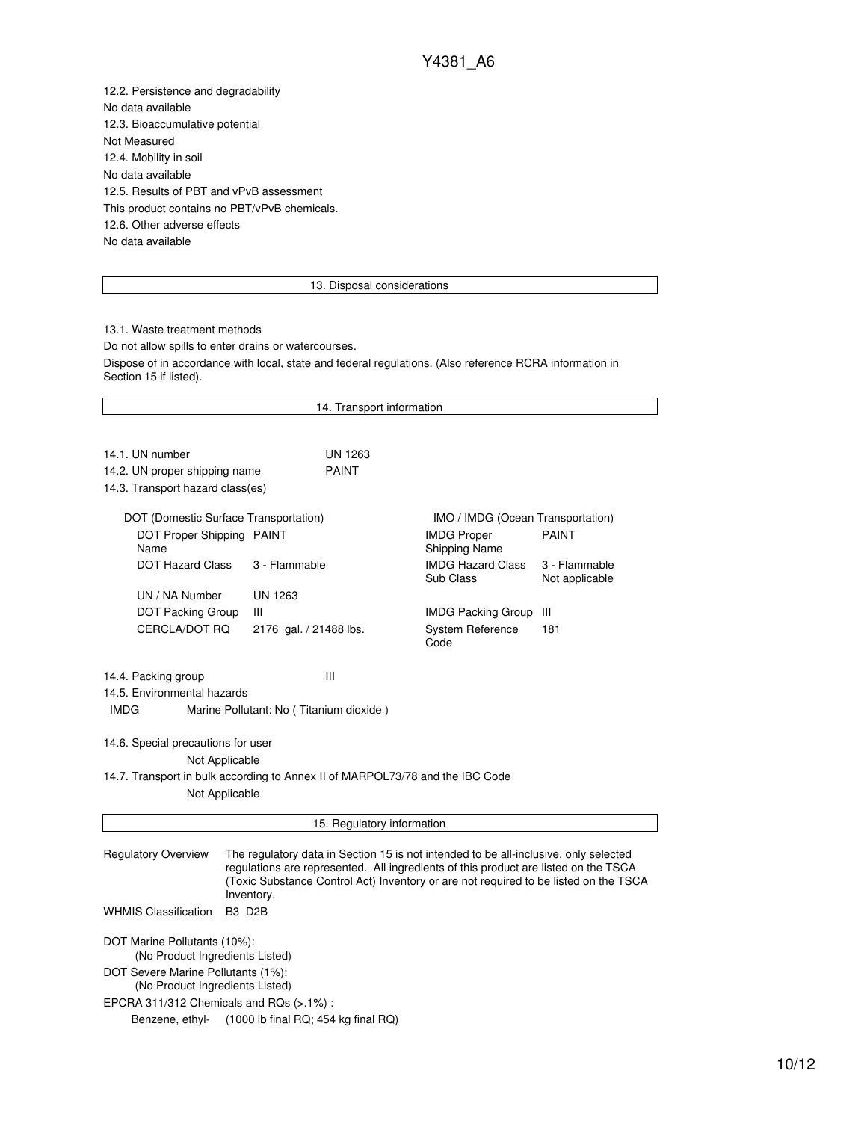12.2. Persistence and degradability No data available 12.3. Bioaccumulative potential Not Measured 12.4. Mobility in soil No data available 12.5. Results of PBT and vPvB assessment This product contains no PBT/vPvB chemicals. 12.6. Other adverse effects No data available

### 13. Disposal considerations

13.1. Waste treatment methods Do not allow spills to enter drains or watercourses. Dispose of in accordance with local, state and federal regulations. (Also reference RCRA information in Section 15 if listed).

| 14. Transport information                                                                                                                                                                                                                                                                                       |                            |                                            |                                 |  |  |
|-----------------------------------------------------------------------------------------------------------------------------------------------------------------------------------------------------------------------------------------------------------------------------------------------------------------|----------------------------|--------------------------------------------|---------------------------------|--|--|
|                                                                                                                                                                                                                                                                                                                 |                            |                                            |                                 |  |  |
| 14.1. UN number                                                                                                                                                                                                                                                                                                 | <b>UN 1263</b>             |                                            |                                 |  |  |
| 14.2. UN proper shipping name                                                                                                                                                                                                                                                                                   | <b>PAINT</b>               |                                            |                                 |  |  |
| 14.3. Transport hazard class(es)                                                                                                                                                                                                                                                                                |                            |                                            |                                 |  |  |
| DOT (Domestic Surface Transportation)                                                                                                                                                                                                                                                                           |                            | IMO / IMDG (Ocean Transportation)          |                                 |  |  |
| DOT Proper Shipping PAINT<br>Name                                                                                                                                                                                                                                                                               |                            | <b>IMDG Proper</b><br><b>Shipping Name</b> | <b>PAINT</b>                    |  |  |
| <b>DOT Hazard Class</b>                                                                                                                                                                                                                                                                                         | 3 - Flammable              | <b>IMDG Hazard Class</b><br>Sub Class      | 3 - Flammable<br>Not applicable |  |  |
| UN / NA Number                                                                                                                                                                                                                                                                                                  | <b>UN 1263</b>             |                                            |                                 |  |  |
| <b>DOT Packing Group</b>                                                                                                                                                                                                                                                                                        | Ш                          | <b>IMDG Packing Group</b>                  | Ш                               |  |  |
| CERCLA/DOT RQ                                                                                                                                                                                                                                                                                                   | 2176 gal. / 21488 lbs.     | System Reference<br>Code                   | 181                             |  |  |
| Ш<br>14.4. Packing group<br>14.5. Environmental hazards<br><b>IMDG</b><br>Marine Pollutant: No (Titanium dioxide)<br>14.6. Special precautions for user                                                                                                                                                         |                            |                                            |                                 |  |  |
| Not Applicable                                                                                                                                                                                                                                                                                                  |                            |                                            |                                 |  |  |
| 14.7. Transport in bulk according to Annex II of MARPOL73/78 and the IBC Code<br>Not Applicable                                                                                                                                                                                                                 |                            |                                            |                                 |  |  |
|                                                                                                                                                                                                                                                                                                                 | 15. Regulatory information |                                            |                                 |  |  |
| <b>Regulatory Overview</b><br>The regulatory data in Section 15 is not intended to be all-inclusive, only selected<br>regulations are represented. All ingredients of this product are listed on the TSCA<br>(Toxic Substance Control Act) Inventory or are not required to be listed on the TSCA<br>Inventory. |                            |                                            |                                 |  |  |
| <b>WHMIS Classification</b><br><b>B3 D2B</b>                                                                                                                                                                                                                                                                    |                            |                                            |                                 |  |  |
| DOT Marine Pollutants (10%):<br>(No Product Ingredients Listed)                                                                                                                                                                                                                                                 |                            |                                            |                                 |  |  |
| DOT Severe Marine Pollutants (1%):<br>(No Product Ingredients Listed)                                                                                                                                                                                                                                           |                            |                                            |                                 |  |  |
| EPCRA 311/312 Chemicals and RQs $(>1\%)$ :                                                                                                                                                                                                                                                                      |                            |                                            |                                 |  |  |
| Benzene, ethyl-<br>$(1000$ lb final RQ; 454 kg final RQ)                                                                                                                                                                                                                                                        |                            |                                            |                                 |  |  |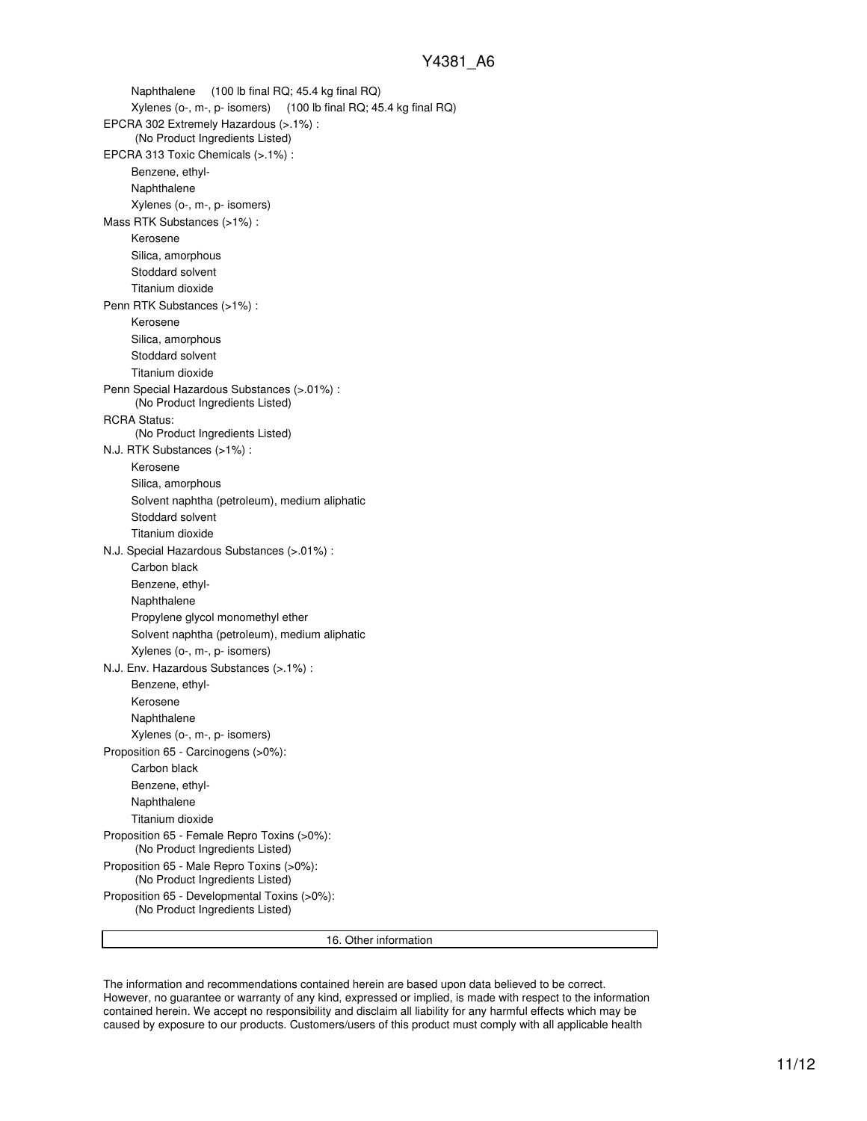Naphthalene (100 lb final RQ; 45.4 kg final RQ) Xylenes (o-, m-, p- isomers) (100 lb final RQ; 45.4 kg final RQ) EPCRA 302 Extremely Hazardous (>.1%) : (No Product Ingredients Listed) EPCRA 313 Toxic Chemicals (>.1%) : Benzene, ethyl-Naphthalene Xylenes (o-, m-, p- isomers) Mass RTK Substances (>1%) : Kerosene Silica, amorphous Stoddard solvent Titanium dioxide Penn RTK Substances (>1%) : Kerosene Silica, amorphous Stoddard solvent Titanium dioxide Penn Special Hazardous Substances (>.01%) : (No Product Ingredients Listed) RCRA Status: (No Product Ingredients Listed) N.J. RTK Substances (>1%) : Kerosene Silica, amorphous Solvent naphtha (petroleum), medium aliphatic Stoddard solvent Titanium dioxide N.J. Special Hazardous Substances (>.01%) : Carbon black Benzene, ethyl-Naphthalene Propylene glycol monomethyl ether Solvent naphtha (petroleum), medium aliphatic Xylenes (o-, m-, p- isomers) N.J. Env. Hazardous Substances (>.1%) : Benzene, ethyl-Kerosene Naphthalene Xylenes (o-, m-, p- isomers) Proposition 65 - Carcinogens (>0%): Carbon black Benzene, ethyl-Naphthalene Titanium dioxide Proposition 65 - Female Repro Toxins (>0%): (No Product Ingredients Listed) Proposition 65 - Male Repro Toxins (>0%): (No Product Ingredients Listed) Proposition 65 - Developmental Toxins (>0%): (No Product Ingredients Listed)

16. Other information

The information and recommendations contained herein are based upon data believed to be correct. However, no guarantee or warranty of any kind, expressed or implied, is made with respect to the information contained herein. We accept no responsibility and disclaim all liability for any harmful effects which may be caused by exposure to our products. Customers/users of this product must comply with all applicable health